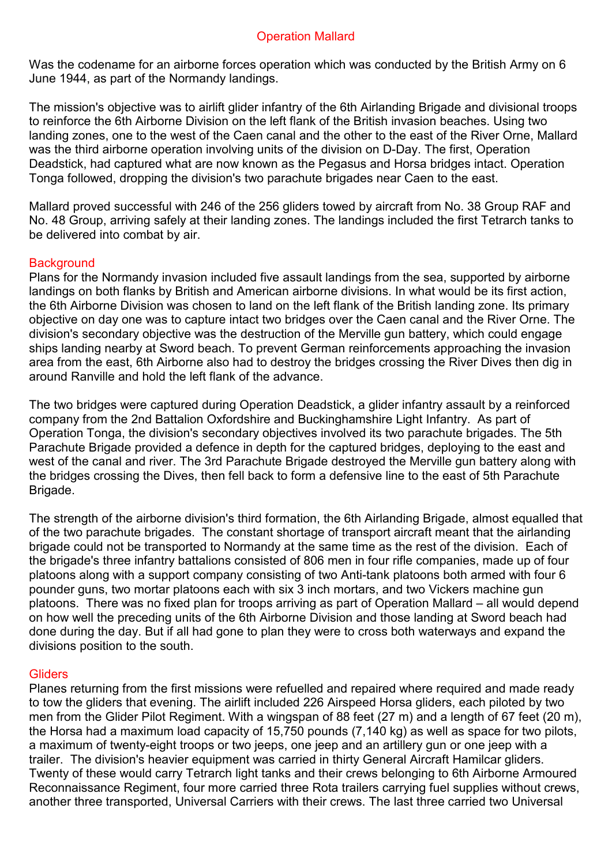## Operation Mallard

Was the codename for an airborne forces operation which was conducted by the British Army on 6 June 1944, as part of the Normandy landings.

The mission's objective was to airlift glider infantry of the 6th Airlanding Brigade and divisional troops to reinforce the 6th Airborne Division on the left flank of the British invasion beaches. Using two landing zones, one to the west of the Caen canal and the other to the east of the River Orne, Mallard was the third airborne operation involving units of the division on D-Day. The first, Operation Deadstick, had captured what are now known as the Pegasus and Horsa bridges intact. Operation Tonga followed, dropping the division's two parachute brigades near Caen to the east.

Mallard proved successful with 246 of the 256 gliders towed by aircraft from No. 38 Group RAF and No. 48 Group, arriving safely at their landing zones. The landings included the first Tetrarch tanks to be delivered into combat by air.

### **Background**

Plans for the Normandy invasion included five assault landings from the sea, supported by airborne landings on both flanks by British and American airborne divisions. In what would be its first action, the 6th Airborne Division was chosen to land on the left flank of the British landing zone. Its primary objective on day one was to capture intact two bridges over the Caen canal and the River Orne. The division's secondary objective was the destruction of the Merville gun battery, which could engage ships landing nearby at Sword beach. To prevent German reinforcements approaching the invasion area from the east, 6th Airborne also had to destroy the bridges crossing the River Dives then dig in around Ranville and hold the left flank of the advance.

The two bridges were captured during Operation Deadstick, a glider infantry assault by a reinforced company from the 2nd Battalion Oxfordshire and Buckinghamshire Light Infantry. As part of Operation Tonga, the division's secondary objectives involved its two parachute brigades. The 5th Parachute Brigade provided a defence in depth for the captured bridges, deploying to the east and west of the canal and river. The 3rd Parachute Brigade destroyed the Merville gun battery along with the bridges crossing the Dives, then fell back to form a defensive line to the east of 5th Parachute Brigade.

The strength of the airborne division's third formation, the 6th Airlanding Brigade, almost equalled that of the two parachute brigades. The constant shortage of transport aircraft meant that the airlanding brigade could not be transported to Normandy at the same time as the rest of the division. Each of the brigade's three infantry battalions consisted of 806 men in four rifle companies, made up of four platoons along with a support company consisting of two Anti-tank platoons both armed with four 6 pounder guns, two mortar platoons each with six 3 inch mortars, and two Vickers machine gun platoons. There was no fixed plan for troops arriving as part of Operation Mallard – all would depend on how well the preceding units of the 6th Airborne Division and those landing at Sword beach had done during the day. But if all had gone to plan they were to cross both waterways and expand the divisions position to the south.

#### **Gliders**

Planes returning from the first missions were refuelled and repaired where required and made ready to tow the gliders that evening. The airlift included 226 Airspeed Horsa gliders, each piloted by two men from the Glider Pilot Regiment. With a wingspan of 88 feet (27 m) and a length of 67 feet (20 m), the Horsa had a maximum load capacity of 15,750 pounds (7,140 kg) as well as space for two pilots, a maximum of twenty-eight troops or two jeeps, one jeep and an artillery gun or one jeep with a trailer. The division's heavier equipment was carried in thirty General Aircraft Hamilcar gliders. Twenty of these would carry Tetrarch light tanks and their crews belonging to 6th Airborne Armoured Reconnaissance Regiment, four more carried three Rota trailers carrying fuel supplies without crews, another three transported, Universal Carriers with their crews. The last three carried two Universal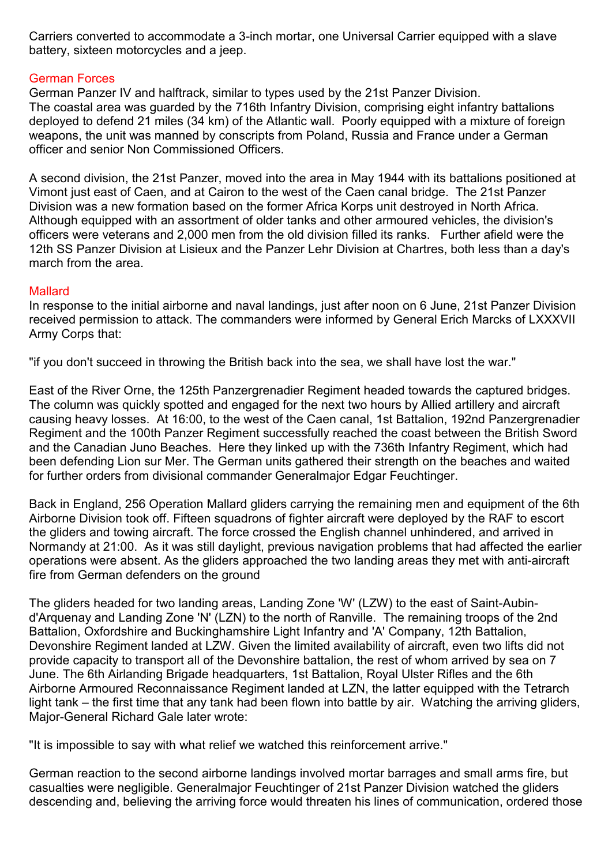Carriers converted to accommodate a 3-inch mortar, one Universal Carrier equipped with a slave battery, sixteen motorcycles and a jeep.

# German Forces

German Panzer IV and halftrack, similar to types used by the 21st Panzer Division. The coastal area was guarded by the 716th Infantry Division, comprising eight infantry battalions deployed to defend 21 miles (34 km) of the Atlantic wall. Poorly equipped with a mixture of foreign weapons, the unit was manned by conscripts from Poland, Russia and France under a German officer and senior Non Commissioned Officers.

A second division, the 21st Panzer, moved into the area in May 1944 with its battalions positioned at Vimont just east of Caen, and at Cairon to the west of the Caen canal bridge. The 21st Panzer Division was a new formation based on the former Africa Korps unit destroyed in North Africa. Although equipped with an assortment of older tanks and other armoured vehicles, the division's officers were veterans and 2,000 men from the old division filled its ranks. Further afield were the 12th SS Panzer Division at Lisieux and the Panzer Lehr Division at Chartres, both less than a day's march from the area.

# Mallard

In response to the initial airborne and naval landings, just after noon on 6 June, 21st Panzer Division received permission to attack. The commanders were informed by General Erich Marcks of LXXXVII Army Corps that:

"if you don't succeed in throwing the British back into the sea, we shall have lost the war."

East of the River Orne, the 125th Panzergrenadier Regiment headed towards the captured bridges. The column was quickly spotted and engaged for the next two hours by Allied artillery and aircraft causing heavy losses. At 16:00, to the west of the Caen canal, 1st Battalion, 192nd Panzergrenadier Regiment and the 100th Panzer Regiment successfully reached the coast between the British Sword and the Canadian Juno Beaches. Here they linked up with the 736th Infantry Regiment, which had been defending Lion sur Mer. The German units gathered their strength on the beaches and waited for further orders from divisional commander Generalmajor Edgar Feuchtinger.

Back in England, 256 Operation Mallard gliders carrying the remaining men and equipment of the 6th Airborne Division took off. Fifteen squadrons of fighter aircraft were deployed by the RAF to escort the gliders and towing aircraft. The force crossed the English channel unhindered, and arrived in Normandy at 21:00. As it was still daylight, previous navigation problems that had affected the earlier operations were absent. As the gliders approached the two landing areas they met with anti-aircraft fire from German defenders on the ground

The gliders headed for two landing areas, Landing Zone 'W' (LZW) to the east of Saint-Aubind'Arquenay and Landing Zone 'N' (LZN) to the north of Ranville. The remaining troops of the 2nd Battalion, Oxfordshire and Buckinghamshire Light Infantry and 'A' Company, 12th Battalion, Devonshire Regiment landed at LZW. Given the limited availability of aircraft, even two lifts did not provide capacity to transport all of the Devonshire battalion, the rest of whom arrived by sea on 7 June. The 6th Airlanding Brigade headquarters, 1st Battalion, Royal Ulster Rifles and the 6th Airborne Armoured Reconnaissance Regiment landed at LZN, the latter equipped with the Tetrarch light tank – the first time that any tank had been flown into battle by air. Watching the arriving gliders, Major-General Richard Gale later wrote:

"It is impossible to say with what relief we watched this reinforcement arrive."

German reaction to the second airborne landings involved mortar barrages and small arms fire, but casualties were negligible. Generalmajor Feuchtinger of 21st Panzer Division watched the gliders descending and, believing the arriving force would threaten his lines of communication, ordered those